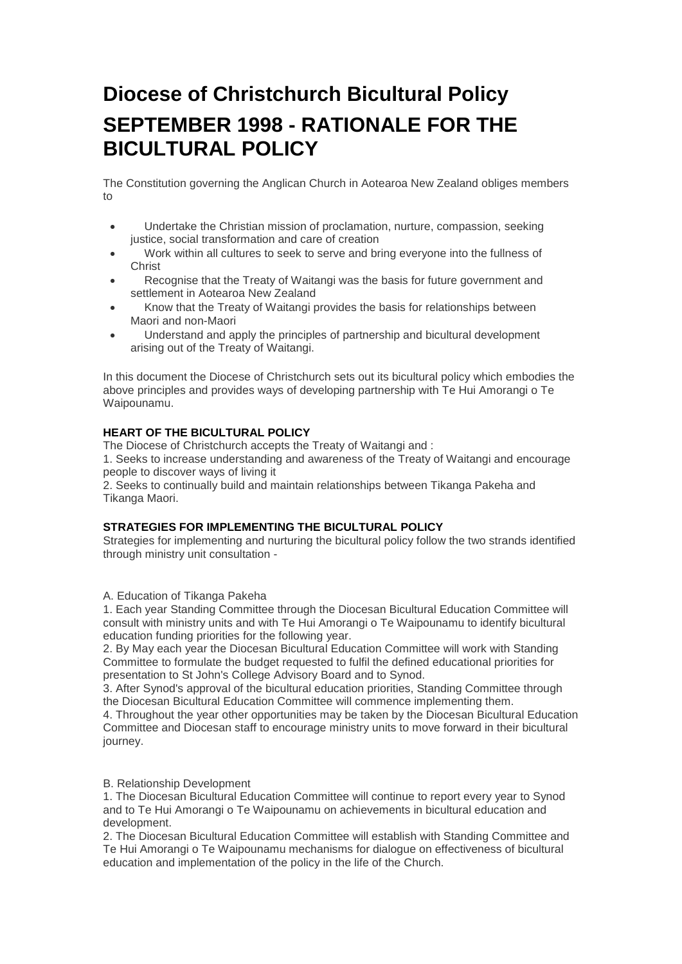# **Diocese of Christchurch Bicultural Policy SEPTEMBER 1998 - RATIONALE FOR THE BICULTURAL POLICY**

The Constitution governing the Anglican Church in Aotearoa New Zealand obliges members to

- Undertake the Christian mission of proclamation, nurture, compassion, seeking justice, social transformation and care of creation
- Work within all cultures to seek to serve and bring everyone into the fullness of **Christ**
- Recognise that the Treaty of Waitangi was the basis for future government and settlement in Aotearoa New Zealand
- Know that the Treaty of Waitangi provides the basis for relationships between Maori and non-Maori
- Understand and apply the principles of partnership and bicultural development arising out of the Treaty of Waitangi.

In this document the Diocese of Christchurch sets out its bicultural policy which embodies the above principles and provides ways of developing partnership with Te Hui Amorangi o Te Waipounamu.

# **HEART OF THE BICULTURAL POLICY**

The Diocese of Christchurch accepts the Treaty of Waitangi and :

1. Seeks to increase understanding and awareness of the Treaty of Waitangi and encourage people to discover ways of living it

2. Seeks to continually build and maintain relationships between Tikanga Pakeha and Tikanga Maori.

#### **STRATEGIES FOR IMPLEMENTING THE BICULTURAL POLICY**

Strategies for implementing and nurturing the bicultural policy follow the two strands identified through ministry unit consultation -

A. Education of Tikanga Pakeha

1. Each year Standing Committee through the Diocesan Bicultural Education Committee will consult with ministry units and with Te Hui Amorangi o Te Waipounamu to identify bicultural education funding priorities for the following year.

2. By May each year the Diocesan Bicultural Education Committee will work with Standing Committee to formulate the budget requested to fulfil the defined educational priorities for presentation to St John's College Advisory Board and to Synod.

3. After Synod's approval of the bicultural education priorities, Standing Committee through the Diocesan Bicultural Education Committee will commence implementing them.

4. Throughout the year other opportunities may be taken by the Diocesan Bicultural Education Committee and Diocesan staff to encourage ministry units to move forward in their bicultural journey.

#### B. Relationship Development

1. The Diocesan Bicultural Education Committee will continue to report every year to Synod and to Te Hui Amorangi o Te Waipounamu on achievements in bicultural education and development.

2. The Diocesan Bicultural Education Committee will establish with Standing Committee and Te Hui Amorangi o Te Waipounamu mechanisms for dialogue on effectiveness of bicultural education and implementation of the policy in the life of the Church.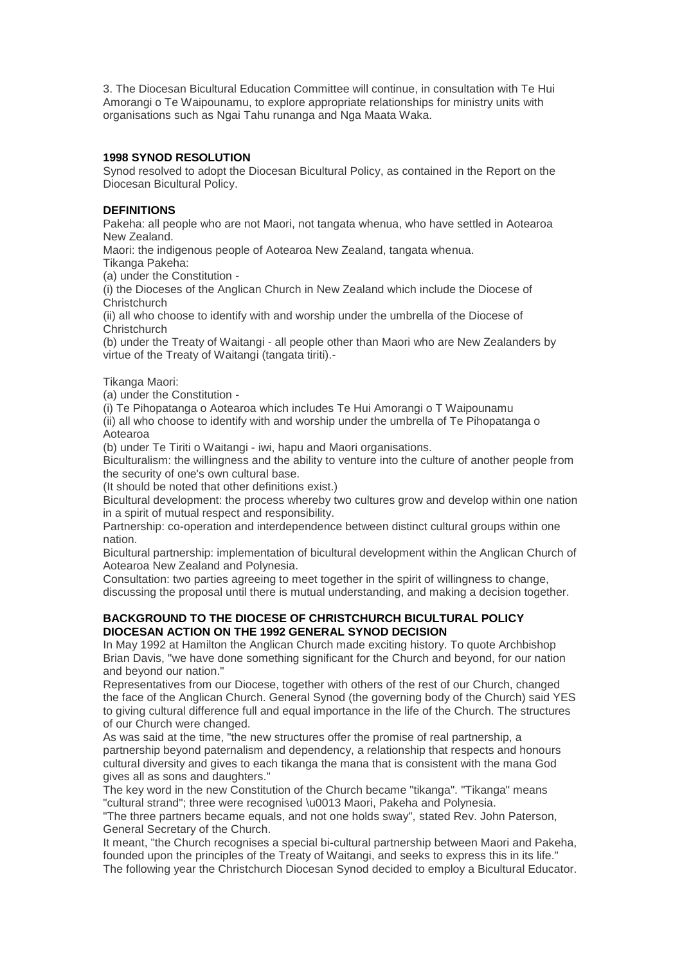3. The Diocesan Bicultural Education Committee will continue, in consultation with Te Hui Amorangi o Te Waipounamu, to explore appropriate relationships for ministry units with organisations such as Ngai Tahu runanga and Nga Maata Waka.

# **1998 SYNOD RESOLUTION**

Synod resolved to adopt the Diocesan Bicultural Policy, as contained in the Report on the Diocesan Bicultural Policy.

# **DEFINITIONS**

Pakeha: all people who are not Maori, not tangata whenua, who have settled in Aotearoa New Zealand.

Maori: the indigenous people of Aotearoa New Zealand, tangata whenua.

Tikanga Pakeha:

(a) under the Constitution -

(i) the Dioceses of the Anglican Church in New Zealand which include the Diocese of **Christchurch** 

(ii) all who choose to identify with and worship under the umbrella of the Diocese of **Christchurch** 

(b) under the Treaty of Waitangi - all people other than Maori who are New Zealanders by virtue of the Treaty of Waitangi (tangata tiriti).-

Tikanga Maori:

(a) under the Constitution -

(i) Te Pihopatanga o Aotearoa which includes Te Hui Amorangi o T Waipounamu

(ii) all who choose to identify with and worship under the umbrella of Te Pihopatanga o Aotearoa

(b) under Te Tiriti o Waitangi - iwi, hapu and Maori organisations.

Biculturalism: the willingness and the ability to venture into the culture of another people from the security of one's own cultural base.

(It should be noted that other definitions exist.)

Bicultural development: the process whereby two cultures grow and develop within one nation in a spirit of mutual respect and responsibility.

Partnership: co-operation and interdependence between distinct cultural groups within one nation.

Bicultural partnership: implementation of bicultural development within the Anglican Church of Aotearoa New Zealand and Polynesia.

Consultation: two parties agreeing to meet together in the spirit of willingness to change, discussing the proposal until there is mutual understanding, and making a decision together.

# **BACKGROUND TO THE DIOCESE OF CHRISTCHURCH BICULTURAL POLICY DIOCESAN ACTION ON THE 1992 GENERAL SYNOD DECISION**

In May 1992 at Hamilton the Anglican Church made exciting history. To quote Archbishop Brian Davis, "we have done something significant for the Church and beyond, for our nation and beyond our nation."

Representatives from our Diocese, together with others of the rest of our Church, changed the face of the Anglican Church. General Synod (the governing body of the Church) said YES to giving cultural difference full and equal importance in the life of the Church. The structures of our Church were changed.

As was said at the time, "the new structures offer the promise of real partnership, a partnership beyond paternalism and dependency, a relationship that respects and honours cultural diversity and gives to each tikanga the mana that is consistent with the mana God gives all as sons and daughters."

The key word in the new Constitution of the Church became "tikanga". "Tikanga" means "cultural strand"; three were recognised \u0013 Maori, Pakeha and Polynesia.

"The three partners became equals, and not one holds sway", stated Rev. John Paterson, General Secretary of the Church.

It meant, "the Church recognises a special bi-cultural partnership between Maori and Pakeha, founded upon the principles of the Treaty of Waitangi, and seeks to express this in its life." The following year the Christchurch Diocesan Synod decided to employ a Bicultural Educator.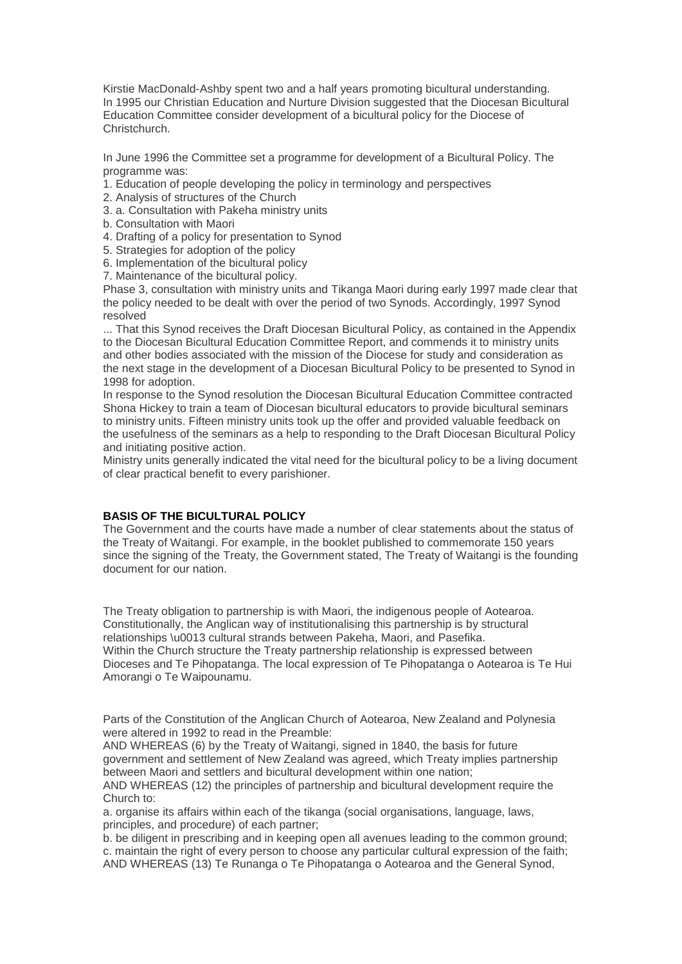Kirstie MacDonald-Ashby spent two and a half years promoting bicultural understanding. In 1995 our Christian Education and Nurture Division suggested that the Diocesan Bicultural Education Committee consider development of a bicultural policy for the Diocese of Christchurch.

In June 1996 the Committee set a programme for development of a Bicultural Policy. The programme was:

- 1. Education of people developing the policy in terminology and perspectives
- 2. Analysis of structures of the Church
- 3. a. Consultation with Pakeha ministry units
- b. Consultation with Maori
- 4. Drafting of a policy for presentation to Synod
- 5. Strategies for adoption of the policy
- 6. Implementation of the bicultural policy
- 7. Maintenance of the bicultural policy.

Phase 3, consultation with ministry units and Tikanga Maori during early 1997 made clear that the policy needed to be dealt with over the period of two Synods. Accordingly, 1997 Synod resolved

... That this Synod receives the Draft Diocesan Bicultural Policy, as contained in the Appendix to the Diocesan Bicultural Education Committee Report, and commends it to ministry units and other bodies associated with the mission of the Diocese for study and consideration as the next stage in the development of a Diocesan Bicultural Policy to be presented to Synod in 1998 for adoption.

In response to the Synod resolution the Diocesan Bicultural Education Committee contracted Shona Hickey to train a team of Diocesan bicultural educators to provide bicultural seminars to ministry units. Fifteen ministry units took up the offer and provided valuable feedback on the usefulness of the seminars as a help to responding to the Draft Diocesan Bicultural Policy and initiating positive action.

Ministry units generally indicated the vital need for the bicultural policy to be a living document of clear practical benefit to every parishioner.

# **BASIS OF THE BICULTURAL POLICY**

The Government and the courts have made a number of clear statements about the status of the Treaty of Waitangi. For example, in the booklet published to commemorate 150 years since the signing of the Treaty, the Government stated, The Treaty of Waitangi is the founding document for our nation.

The Treaty obligation to partnership is with Maori, the indigenous people of Aotearoa. Constitutionally, the Anglican way of institutionalising this partnership is by structural relationships \u0013 cultural strands between Pakeha, Maori, and Pasefika. Within the Church structure the Treaty partnership relationship is expressed between Dioceses and Te Pihopatanga. The local expression of Te Pihopatanga o Aotearoa is Te Hui Amorangi o Te Waipounamu.

Parts of the Constitution of the Anglican Church of Aotearoa, New Zealand and Polynesia were altered in 1992 to read in the Preamble:

AND WHEREAS (6) by the Treaty of Waitangi, signed in 1840, the basis for future government and settlement of New Zealand was agreed, which Treaty implies partnership between Maori and settlers and bicultural development within one nation;

AND WHEREAS (12) the principles of partnership and bicultural development require the Church to:

a. organise its affairs within each of the tikanga (social organisations, language, laws, principles, and procedure) of each partner;

b. be diligent in prescribing and in keeping open all avenues leading to the common ground; c. maintain the right of every person to choose any particular cultural expression of the faith; AND WHEREAS (13) Te Runanga o Te Pihopatanga o Aotearoa and the General Synod,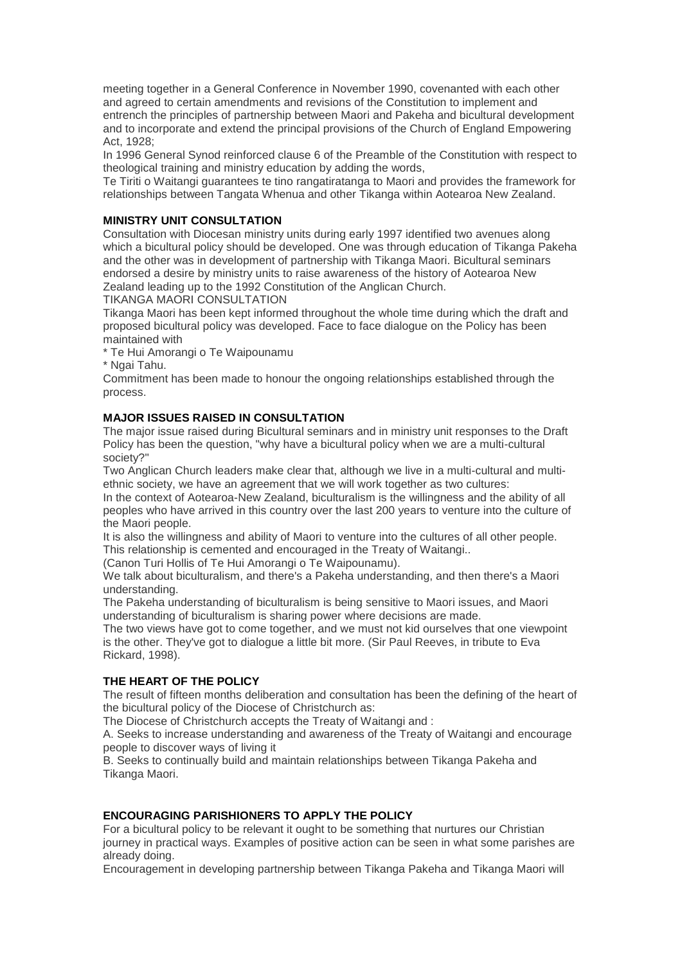meeting together in a General Conference in November 1990, covenanted with each other and agreed to certain amendments and revisions of the Constitution to implement and entrench the principles of partnership between Maori and Pakeha and bicultural development and to incorporate and extend the principal provisions of the Church of England Empowering Act, 1928;

In 1996 General Synod reinforced clause 6 of the Preamble of the Constitution with respect to theological training and ministry education by adding the words,

Te Tiriti o Waitangi guarantees te tino rangatiratanga to Maori and provides the framework for relationships between Tangata Whenua and other Tikanga within Aotearoa New Zealand.

#### **MINISTRY UNIT CONSULTATION**

Consultation with Diocesan ministry units during early 1997 identified two avenues along which a bicultural policy should be developed. One was through education of Tikanga Pakeha and the other was in development of partnership with Tikanga Maori. Bicultural seminars endorsed a desire by ministry units to raise awareness of the history of Aotearoa New Zealand leading up to the 1992 Constitution of the Anglican Church.

TIKANGA MAORI CONSULTATION

Tikanga Maori has been kept informed throughout the whole time during which the draft and proposed bicultural policy was developed. Face to face dialogue on the Policy has been maintained with

\* Te Hui Amorangi o Te Waipounamu

\* Ngai Tahu.

Commitment has been made to honour the ongoing relationships established through the process.

#### **MAJOR ISSUES RAISED IN CONSULTATION**

The major issue raised during Bicultural seminars and in ministry unit responses to the Draft Policy has been the question, "why have a bicultural policy when we are a multi-cultural society?"

Two Anglican Church leaders make clear that, although we live in a multi-cultural and multiethnic society, we have an agreement that we will work together as two cultures:

In the context of Aotearoa-New Zealand, biculturalism is the willingness and the ability of all peoples who have arrived in this country over the last 200 years to venture into the culture of the Maori people.

It is also the willingness and ability of Maori to venture into the cultures of all other people. This relationship is cemented and encouraged in the Treaty of Waitangi..

(Canon Turi Hollis of Te Hui Amorangi o Te Waipounamu).

We talk about biculturalism, and there's a Pakeha understanding, and then there's a Maori understanding.

The Pakeha understanding of biculturalism is being sensitive to Maori issues, and Maori understanding of biculturalism is sharing power where decisions are made.

The two views have got to come together, and we must not kid ourselves that one viewpoint is the other. They've got to dialogue a little bit more. (Sir Paul Reeves, in tribute to Eva Rickard, 1998).

#### **THE HEART OF THE POLICY**

The result of fifteen months deliberation and consultation has been the defining of the heart of the bicultural policy of the Diocese of Christchurch as:

The Diocese of Christchurch accepts the Treaty of Waitangi and :

A. Seeks to increase understanding and awareness of the Treaty of Waitangi and encourage people to discover ways of living it

B. Seeks to continually build and maintain relationships between Tikanga Pakeha and Tikanga Maori.

# **ENCOURAGING PARISHIONERS TO APPLY THE POLICY**

For a bicultural policy to be relevant it ought to be something that nurtures our Christian journey in practical ways. Examples of positive action can be seen in what some parishes are already doing.

Encouragement in developing partnership between Tikanga Pakeha and Tikanga Maori will